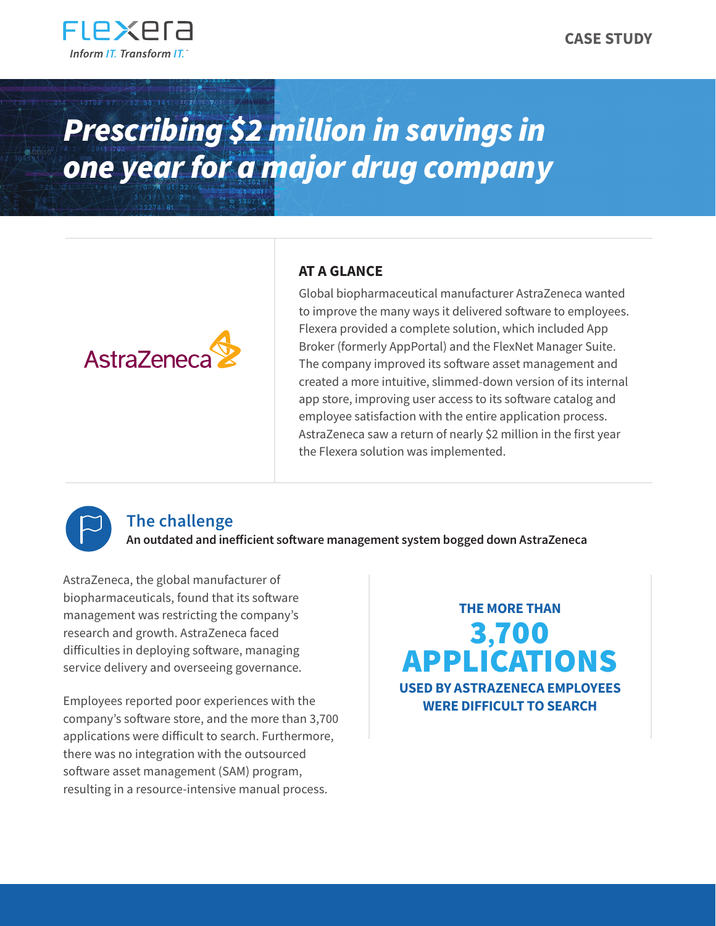

# *Prescribing \$2 million in savings in one year for a major drug company*



## **AT A GLANCE**

Global biopharmaceutical manufacturer AstraZeneca wanted to improve the many ways it delivered software to employees. Flexera provided a complete solution, which included App Broker (formerly AppPortal) and the FlexNet Manager Suite. The company improved its software asset management and created a more intuitive, slimmed-down version of its internal app store, improving user access to its software catalog and employee satisfaction with the entire application process. AstraZeneca saw a return of nearly \$2 million in the first year the Flexera solution was implemented.



## **The challenge**

**An outdated and inefficient software management system bogged down AstraZeneca**

AstraZeneca, the global manufacturer of biopharmaceuticals, found that its software management was restricting the company's research and growth. AstraZeneca faced difficulties in deploying software, managing service delivery and overseeing governance.

Employees reported poor experiences with the company's software store, and the more than 3,700 applications were difficult to search. Furthermore, there was no integration with the outsourced software asset management (SAM) program, resulting in a resource-intensive manual process.

**THE MORE THAN** 3,700 APPLICATIONS **USED BY ASTRAZENECA EMPLOYEES WERE DIFFICULT TO SEARCH**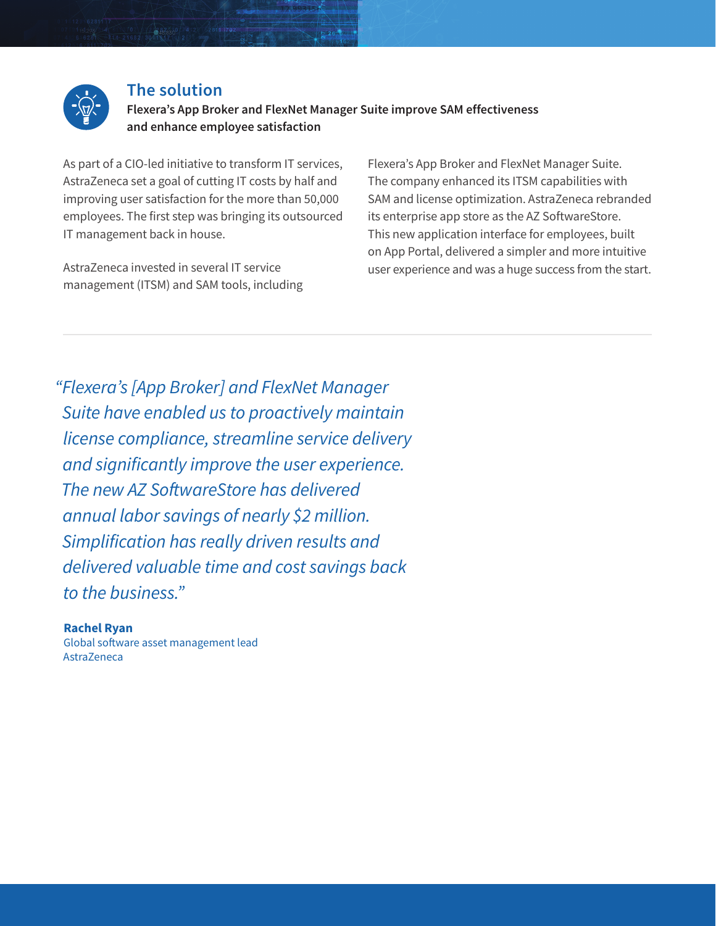

### **The solution**

**Flexera's App Broker and FlexNet Manager Suite improve SAM effectiveness and enhance employee satisfaction**

As part of a CIO-led initiative to transform IT services, AstraZeneca set a goal of cutting IT costs by half and improving user satisfaction for the more than 50,000 employees. The first step was bringing its outsourced IT management back in house.

AstraZeneca invested in several IT service management (ITSM) and SAM tools, including Flexera's App Broker and FlexNet Manager Suite. The company enhanced its ITSM capabilities with SAM and license optimization. AstraZeneca rebranded its enterprise app store as the AZ SoftwareStore. This new application interface for employees, built on App Portal, delivered a simpler and more intuitive user experience and was a huge success from the start.

*"Flexera's [App Broker] and FlexNet Manager Suite have enabled us to proactively maintain license compliance, streamline service delivery and significantly improve the user experience. The new AZ SoftwareStore has delivered annual labor savings of nearly \$2 million. Simplification has really driven results and delivered valuable time and cost savings back to the business."*

**Rachel Ryan** Global software asset management lead AstraZeneca